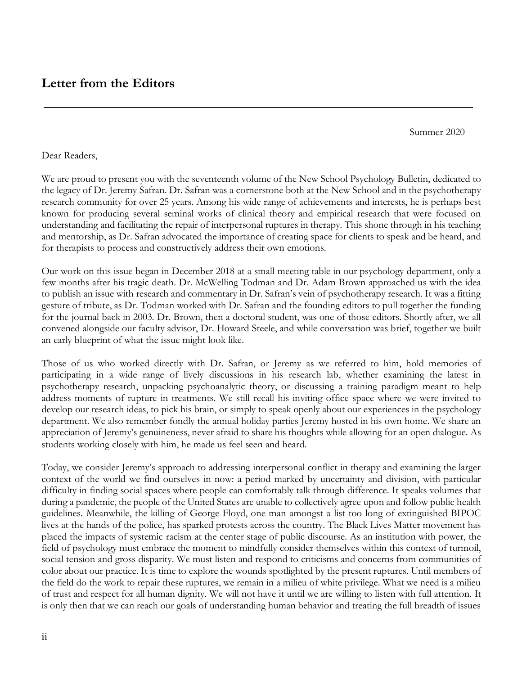Summer 2020

Dear Readers,

We are proud to present you with the seventeenth volume of the New School Psychology Bulletin, dedicated to the legacy of Dr. Jeremy Safran. Dr. Safran was a cornerstone both at the New School and in the psychotherapy research community for over 25 years. Among his wide range of achievements and interests, he is perhaps best known for producing several seminal works of clinical theory and empirical research that were focused on understanding and facilitating the repair of interpersonal ruptures in therapy. This shone through in his teaching and mentorship, as Dr. Safran advocated the importance of creating space for clients to speak and be heard, and for therapists to process and constructively address their own emotions.

Our work on this issue began in December 2018 at a small meeting table in our psychology department, only a few months after his tragic death. Dr. McWelling Todman and Dr. Adam Brown approached us with the idea to publish an issue with research and commentary in Dr. Safran's vein of psychotherapy research. It was a fitting gesture of tribute, as Dr. Todman worked with Dr. Safran and the founding editors to pull together the funding for the journal back in 2003. Dr. Brown, then a doctoral student, was one of those editors. Shortly after, we all convened alongside our faculty advisor, Dr. Howard Steele, and while conversation was brief, together we built an early blueprint of what the issue might look like.

Those of us who worked directly with Dr. Safran, or Jeremy as we referred to him, hold memories of participating in a wide range of lively discussions in his research lab, whether examining the latest in psychotherapy research, unpacking psychoanalytic theory, or discussing a training paradigm meant to help address moments of rupture in treatments. We still recall his inviting office space where we were invited to develop our research ideas, to pick his brain, or simply to speak openly about our experiences in the psychology department. We also remember fondly the annual holiday parties Jeremy hosted in his own home. We share an appreciation of Jeremy's genuineness, never afraid to share his thoughts while allowing for an open dialogue. As students working closely with him, he made us feel seen and heard.

Today, we consider Jeremy's approach to addressing interpersonal conflict in therapy and examining the larger context of the world we find ourselves in now: a period marked by uncertainty and division, with particular difficulty in finding social spaces where people can comfortably talk through difference. It speaks volumes that during a pandemic, the people of the United States are unable to collectively agree upon and follow public health guidelines. Meanwhile, the killing of George Floyd, one man amongst a list too long of extinguished BIPOC lives at the hands of the police, has sparked protests across the country. The Black Lives Matter movement has placed the impacts of systemic racism at the center stage of public discourse. As an institution with power, the field of psychology must embrace the moment to mindfully consider themselves within this context of turmoil, social tension and gross disparity. We must listen and respond to criticisms and concerns from communities of color about our practice. It is time to explore the wounds spotlighted by the present ruptures. Until members of the field do the work to repair these ruptures, we remain in a milieu of white privilege. What we need is a milieu of trust and respect for all human dignity. We will not have it until we are willing to listen with full attention. It is only then that we can reach our goals of understanding human behavior and treating the full breadth of issues